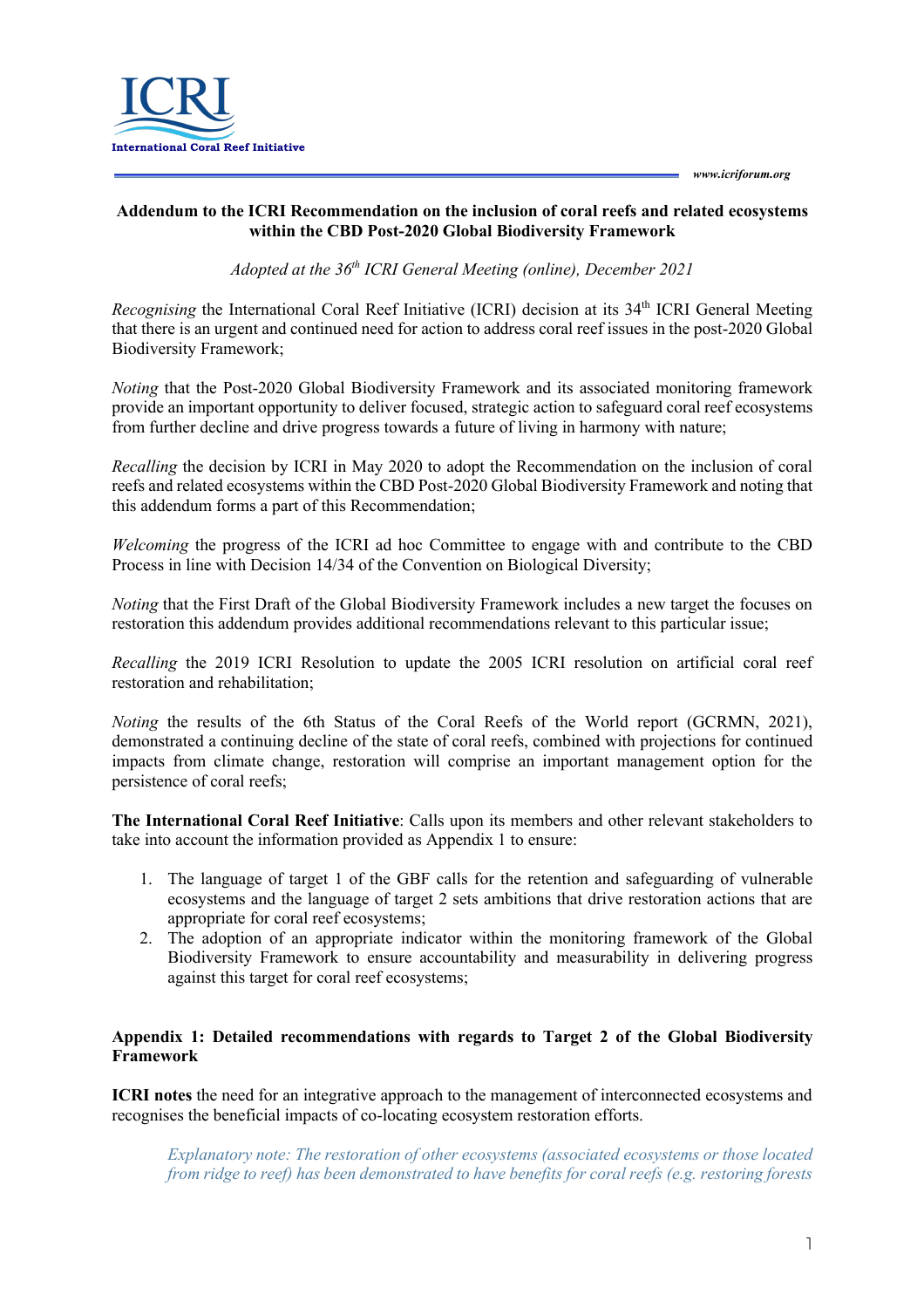

## **Addendum to the ICRI Recommendation on the inclusion of coral reefs and related ecosystems within the CBD Post-2020 Global Biodiversity Framework**

*Adopted at the 36th ICRI General Meeting (online), December 2021*

*Recognising the International Coral Reef Initiative (ICRI) decision at its 34<sup>th</sup> ICRI General Meeting* that there is an urgent and continued need for action to address coral reef issues in the post-2020 Global Biodiversity Framework;

*Noting* that the Post-2020 Global Biodiversity Framework and its associated monitoring framework provide an important opportunity to deliver focused, strategic action to safeguard coral reef ecosystems from further decline and drive progress towards a future of living in harmony with nature;

*Recalling* the decision by ICRI in May 2020 to adopt the Recommendation on the inclusion of coral reefs and related ecosystems within the CBD Post-2020 Global Biodiversity Framework and noting that this addendum forms a part of this Recommendation;

*Welcoming* the progress of the ICRI ad hoc Committee to engage with and contribute to the CBD Process in line with Decision 14/34 of the Convention on Biological Diversity;

*Noting* that the First Draft of the Global Biodiversity Framework includes a new target the focuses on restoration this addendum provides additional recommendations relevant to this particular issue;

*Recalling* the 2019 ICRI Resolution to update the 2005 ICRI resolution on artificial coral reef restoration and rehabilitation;

*Noting* the results of the 6th Status of the Coral Reefs of the World report (GCRMN, 2021), demonstrated a continuing decline of the state of coral reefs, combined with projections for continued impacts from climate change, restoration will comprise an important management option for the persistence of coral reefs;

**The International Coral Reef Initiative**: Calls upon its members and other relevant stakeholders to take into account the information provided as Appendix 1 to ensure:

- 1. The language of target 1 of the GBF calls for the retention and safeguarding of vulnerable ecosystems and the language of target 2 sets ambitions that drive restoration actions that are appropriate for coral reef ecosystems;
- 2. The adoption of an appropriate indicator within the monitoring framework of the Global Biodiversity Framework to ensure accountability and measurability in delivering progress against this target for coral reef ecosystems;

## **Appendix 1: Detailed recommendations with regards to Target 2 of the Global Biodiversity Framework**

**ICRI notes** the need for an integrative approach to the management of interconnected ecosystems and recognises the beneficial impacts of co-locating ecosystem restoration efforts.

*Explanatory note: The restoration of other ecosystems (associated ecosystems or those located from ridge to reef) has been demonstrated to have benefits for coral reefs (e.g. restoring forests*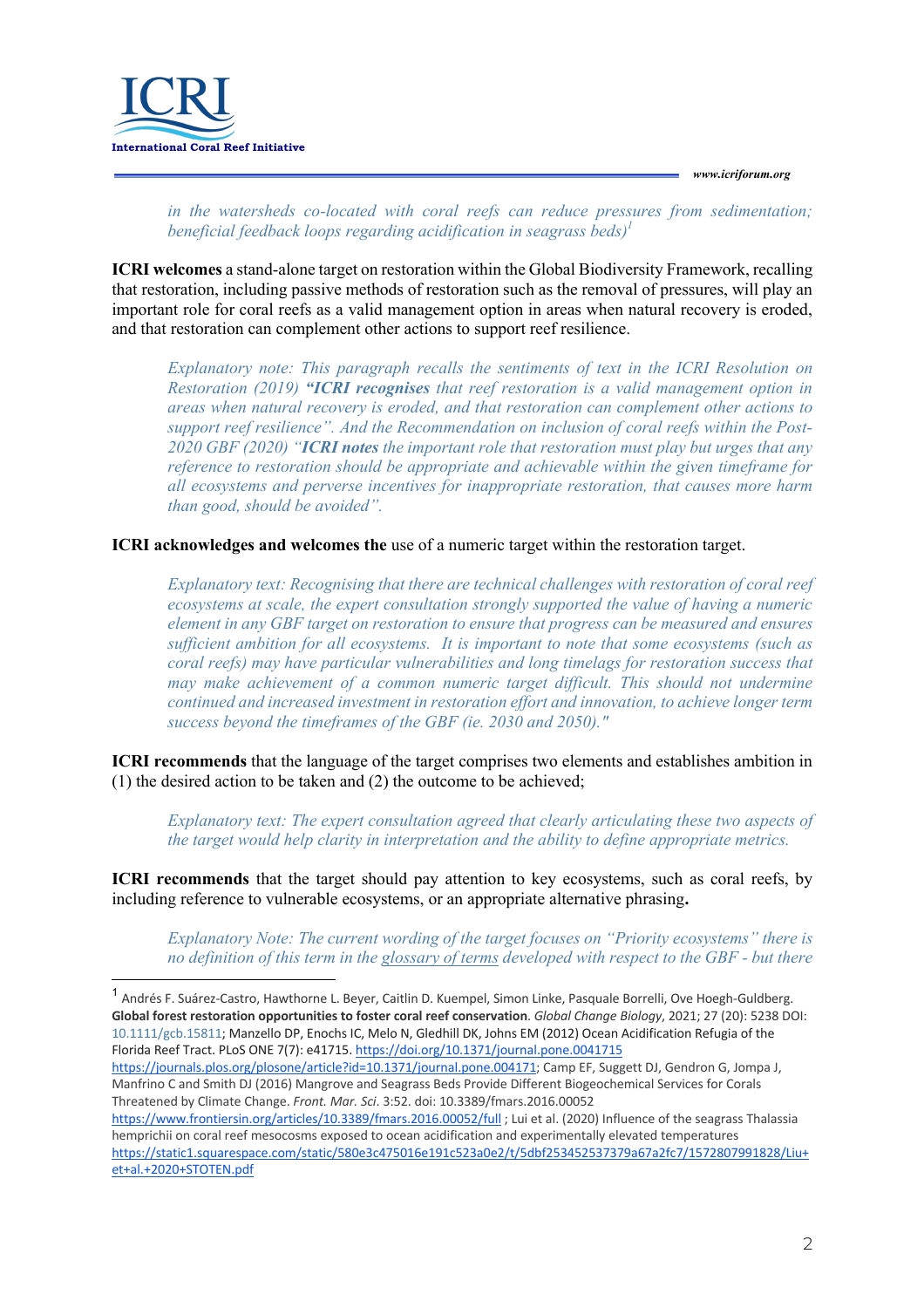*www.icriforum.org* 



*in the watersheds co-located with coral reefs can reduce pressures from sedimentation; beneficial feedback loops regarding acidification in seagrass beds)1*

**ICRI welcomes** a stand-alone target on restoration within the Global Biodiversity Framework, recalling that restoration, including passive methods of restoration such as the removal of pressures, will play an important role for coral reefs as a valid management option in areas when natural recovery is eroded, and that restoration can complement other actions to support reef resilience.

*Explanatory note: This paragraph recalls the sentiments of text in the ICRI Resolution on Restoration (2019) "ICRI recognises that reef restoration is a valid management option in areas when natural recovery is eroded, and that restoration can complement other actions to support reef resilience". And the Recommendation on inclusion of coral reefs within the Post-2020 GBF (2020) "ICRI notes the important role that restoration must play but urges that any reference to restoration should be appropriate and achievable within the given timeframe for all ecosystems and perverse incentives for inappropriate restoration, that causes more harm than good, should be avoided".*

**ICRI acknowledges and welcomes the** use of a numeric target within the restoration target.

*Explanatory text: Recognising that there are technical challenges with restoration of coral reef ecosystems at scale, the expert consultation strongly supported the value of having a numeric element in any GBF target on restoration to ensure that progress can be measured and ensures sufficient ambition for all ecosystems. It is important to note that some ecosystems (such as coral reefs) may have particular vulnerabilities and long timelags for restoration success that may make achievement of a common numeric target difficult. This should not undermine continued and increased investment in restoration effort and innovation, to achieve longer term success beyond the timeframes of the GBF (ie. 2030 and 2050)."*

**ICRI recommends** that the language of the target comprises two elements and establishes ambition in (1) the desired action to be taken and (2) the outcome to be achieved;

*Explanatory text: The expert consultation agreed that clearly articulating these two aspects of the target would help clarity in interpretation and the ability to define appropriate metrics.*

**ICRI recommends** that the target should pay attention to key ecosystems, such as coral reefs, by including reference to vulnerable ecosystems, or an appropriate alternative phrasing**.** 

*Explanatory Note: The current wording of the target focuses on "Priority ecosystems" there is no definition of this term in the glossary of terms developed with respect to the GBF - but there* 

https://journals.plos.org/plosone/article?id=10.1371/journal.pone.004171; Camp EF, Suggett DJ, Gendron G, Jompa J, Manfrino C and Smith DJ (2016) Mangrove and Seagrass Beds Provide Different Biogeochemical Services for Corals Threatened by Climate Change. *Front. Mar. Sci*. 3:52. doi: 10.3389/fmars.2016.00052

<sup>&</sup>lt;sup>1</sup> Andrés F. Suárez-Castro, Hawthorne L. Beyer, Caitlin D. Kuempel, Simon Linke, Pasquale Borrelli, Ove Hoegh-Guldberg. **Global forest restoration opportunities to foster coral reef conservation**. *Global Change Biology*, 2021; 27 (20): 5238 DOI: 10.1111/gcb.15811; Manzello DP, Enochs IC, Melo N, Gledhill DK, Johns EM (2012) Ocean Acidification Refugia of the Florida Reef Tract. PLoS ONE 7(7): e41715. https://doi.org/10.1371/journal.pone.0041715

https://www.frontiersin.org/articles/10.3389/fmars.2016.00052/full ; Lui et al. (2020) Influence of the seagrass Thalassia hemprichii on coral reef mesocosms exposed to ocean acidification and experimentally elevated temperatures https://static1.squarespace.com/static/580e3c475016e191c523a0e2/t/5dbf253452537379a67a2fc7/1572807991828/Liu+ et+al.+2020+STOTEN.pdf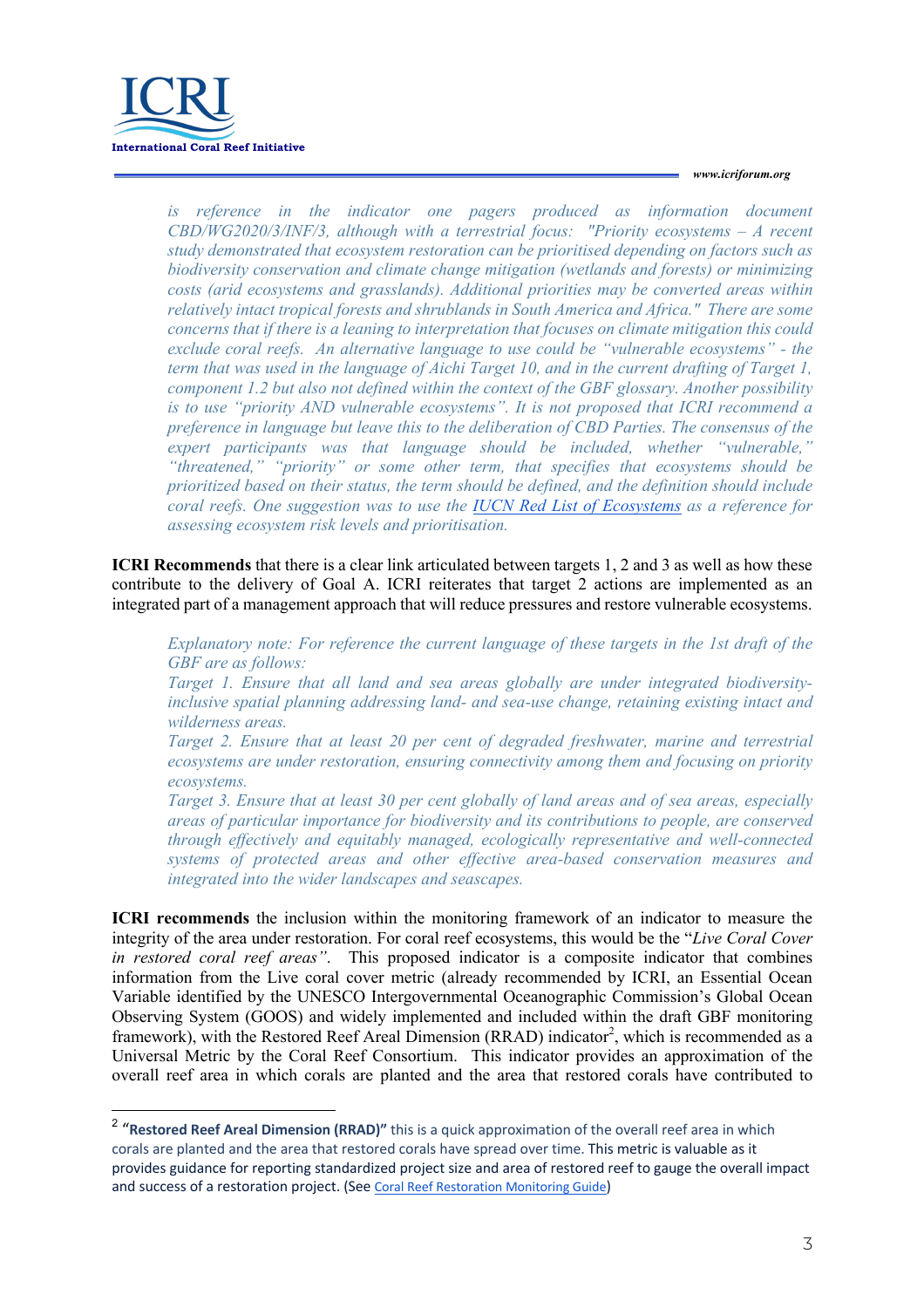

## *www.icriforum.org*

is reference in the indicator one pagers produced as information document *CBD/WG2020/3/INF/3, although with a terrestrial focus: "Priority ecosystems – A recent study demonstrated that ecosystem restoration can be prioritised depending on factors such as biodiversity conservation and climate change mitigation (wetlands and forests) or minimizing costs (arid ecosystems and grasslands). Additional priorities may be converted areas within relatively intact tropical forests and shrublands in South America and Africa." There are some concerns that if there is a leaning to interpretation that focuses on climate mitigation this could exclude coral reefs. An alternative language to use could be "vulnerable ecosystems" - the term that was used in the language of Aichi Target 10, and in the current drafting of Target 1, component 1.2 but also not defined within the context of the GBF glossary. Another possibility is to use "priority AND vulnerable ecosystems". It is not proposed that ICRI recommend a preference in language but leave this to the deliberation of CBD Parties. The consensus of the expert participants was that language should be included, whether "vulnerable," "threatened," "priority" or some other term, that specifies that ecosystems should be prioritized based on their status, the term should be defined, and the definition should include coral reefs. One suggestion was to use the IUCN Red List of Ecosystems as a reference for assessing ecosystem risk levels and prioritisation.*

**ICRI Recommends** that there is a clear link articulated between targets 1, 2 and 3 as well as how these contribute to the delivery of Goal A. ICRI reiterates that target 2 actions are implemented as an integrated part of a management approach that will reduce pressures and restore vulnerable ecosystems.

*Explanatory note: For reference the current language of these targets in the 1st draft of the GBF are as follows:*

*Target 1. Ensure that all land and sea areas globally are under integrated biodiversityinclusive spatial planning addressing land- and sea-use change, retaining existing intact and wilderness areas.*

*Target 2. Ensure that at least 20 per cent of degraded freshwater, marine and terrestrial ecosystems are under restoration, ensuring connectivity among them and focusing on priority ecosystems.*

*Target 3. Ensure that at least 30 per cent globally of land areas and of sea areas, especially areas of particular importance for biodiversity and its contributions to people, are conserved through effectively and equitably managed, ecologically representative and well-connected systems of protected areas and other effective area-based conservation measures and integrated into the wider landscapes and seascapes.*

**ICRI recommends** the inclusion within the monitoring framework of an indicator to measure the integrity of the area under restoration. For coral reef ecosystems, this would be the "*Live Coral Cover in restored coral reef areas"*. This proposed indicator is a composite indicator that combines information from the Live coral cover metric (already recommended by ICRI, an Essential Ocean Variable identified by the UNESCO Intergovernmental Oceanographic Commission's Global Ocean Observing System (GOOS) and widely implemented and included within the draft GBF monitoring framework), with the Restored Reef Areal Dimension (RRAD) indicator<sup>2</sup>, which is recommended as a Universal Metric by the Coral Reef Consortium. This indicator provides an approximation of the overall reef area in which corals are planted and the area that restored corals have contributed to

<sup>2</sup> "**Restored Reef Areal Dimension (RRAD)"** this is a quick approximation of the overall reef area in which corals are planted and the area that restored corals have spread over time. This metric is valuable as it provides guidance for reporting standardized project size and area of restored reef to gauge the overall impact and success of a restoration project. (See Coral Reef Restoration Monitoring Guide)